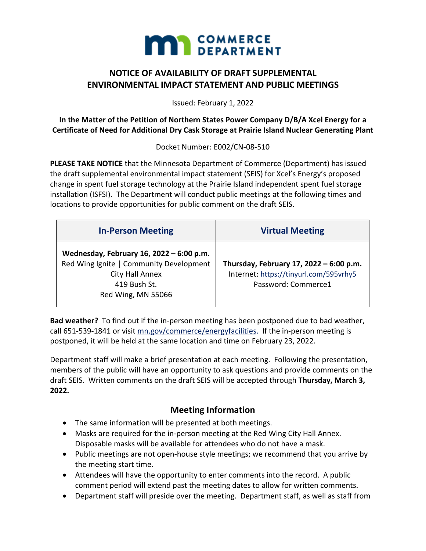

# **NOTICE OF AVAILABILITY OF DRAFT SUPPLEMENTAL ENVIRONMENTAL IMPACT STATEMENT AND PUBLIC MEETINGS**

Issued: February 1, 2022

**In the Matter of the Petition of Northern States Power Company D/B/A Xcel Energy for a Certificate of Need for Additional Dry Cask Storage at Prairie Island Nuclear Generating Plant**

Docket Number: E002/CN-08-510

**PLEASE TAKE NOTICE** that the Minnesota Department of Commerce (Department) has issued the draft supplemental environmental impact statement (SEIS) for Xcel's Energy's proposed change in spent fuel storage technology at the Prairie Island independent spent fuel storage installation (ISFSI). The Department will conduct public meetings at the following times and locations to provide opportunities for public comment on the draft SEIS.

| <b>In-Person Meeting</b>                                                                                                                     | <b>Virtual Meeting</b>                                                                                   |
|----------------------------------------------------------------------------------------------------------------------------------------------|----------------------------------------------------------------------------------------------------------|
| Wednesday, February 16, 2022 - 6:00 p.m.<br>Red Wing Ignite   Community Development<br>City Hall Annex<br>419 Bush St.<br>Red Wing, MN 55066 | Thursday, February 17, 2022 - 6:00 p.m.<br>Internet: https://tinyurl.com/595vrhy5<br>Password: Commerce1 |

**Bad weather?** To find out if the in-person meeting has been postponed due to bad weather, call 651-539-1841 or visit [mn.gov/commerce/energyfacilities.](http://mn.gov/commerce/energyfacilities) If the in-person meeting is postponed, it will be held at the same location and time on February 23, 2022.

Department staff will make a brief presentation at each meeting. Following the presentation, members of the public will have an opportunity to ask questions and provide comments on the draft SEIS. Written comments on the draft SEIS will be accepted through **Thursday, March 3, 2022.**

# **Meeting Information**

- The same information will be presented at both meetings.
- Masks are required for the in-person meeting at the Red Wing City Hall Annex. Disposable masks will be available for attendees who do not have a mask.
- Public meetings are not open-house style meetings; we recommend that you arrive by the meeting start time.
- Attendees will have the opportunity to enter comments into the record. A public comment period will extend past the meeting dates to allow for written comments.
- Department staff will preside over the meeting. Department staff, as well as staff from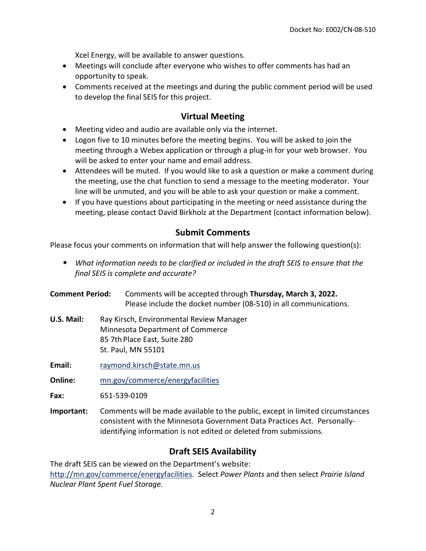Xcel Energy, will be available to answer questions.

- Meetings will conclude after everyone who wishes to offer comments has had an opportunity to speak.
- Comments received at the meetings and during the public comment period will be used to develop the final SEIS for this project.

### **Virtual Meeting**

- Meeting video and audio are available only via the internet.
- Logon five to 10 minutes before the meeting begins. You will be asked to join the meeting through a Webex application or through a plug-in for your web browser. You will be asked to enter your name and email address.
- Attendees will be muted. If you would like to ask a question or make a comment during the meeting, use the chat function to send a message to the meeting moderator. Your line will be unmuted, and you will be able to ask your question or make a comment.
- If you have questions about participating in the meeting or need assistance during the meeting, please contact David Birkholz at the Department (contact information below).

# **Submit Comments**

Please focus your comments on information that will help answer the following question(s):

- *What information needs to be clarified or included in the draft SEIS to ensure that the final SEIS is complete and accurate?*
- **Comment Period:** Comments will be accepted through **Thursday, March 3, 2022.** Please include the docket number (08-510) in all communications.
- **U.S. Mail:** Ray Kirsch, Environmental Review Manager Minnesota Department of Commerce 85 7th Place East, Suite 280 St. Paul, MN 55101
- **Email:** [raymond.kirsch@state.mn.us](mailto:raymond.kirsch@state.mn.us)
- **Online:** [mn.gov/commerce/energyfacilities](https://mn.gov/commerce/energyfacilities)

**Fax:** 651-539-0109

**Important:** Comments will be made available to the public, except in limited circumstances consistent with the Minnesota Government Data Practices Act. Personallyidentifying information is not edited or deleted from submissions.

# **Draft SEIS Availability**

The draft SEIS can be viewed on the Department's website: [http://mn.gov/commerce/energyfacilities.](http://mn.gov/commerce/energyfacilities) Select *Power Plants* and then select *Prairie Island Nuclear Plant Spent Fuel Storage.*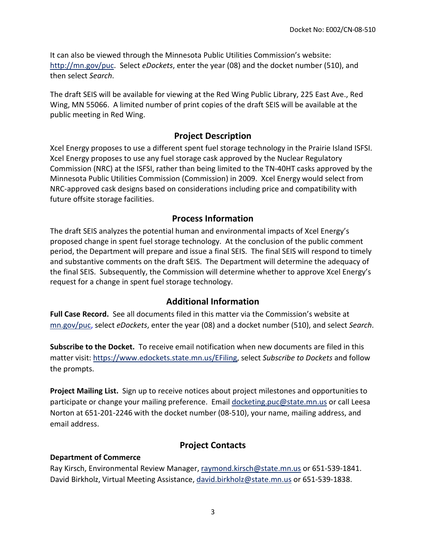It can also be viewed through the Minnesota Public Utilities Commission's website: [http://mn.gov/puc.](http://mn.gov/puc) Select *eDockets*, enter the year (08) and the docket number (510), and then select *Search*.

The draft SEIS will be available for viewing at the Red Wing Public Library, 225 East Ave., Red Wing, MN 55066. A limited number of print copies of the draft SEIS will be available at the public meeting in Red Wing.

# **Project Description**

Xcel Energy proposes to use a different spent fuel storage technology in the Prairie Island ISFSI. Xcel Energy proposes to use any fuel storage cask approved by the Nuclear Regulatory Commission (NRC) at the ISFSI, rather than being limited to the TN-40HT casks approved by the Minnesota Public Utilities Commission (Commission) in 2009. Xcel Energy would select from NRC-approved cask designs based on considerations including price and compatibility with future offsite storage facilities.

#### **Process Information**

The draft SEIS analyzes the potential human and environmental impacts of Xcel Energy's proposed change in spent fuel storage technology. At the conclusion of the public comment period, the Department will prepare and issue a final SEIS. The final SEIS will respond to timely and substantive comments on the draft SEIS. The Department will determine the adequacy of the final SEIS. Subsequently, the Commission will determine whether to approve Xcel Energy's request for a change in spent fuel storage technology.

# **Additional Information**

**Full Case Record.** See all documents filed in this matter via the Commission's website at [mn.gov/puc,](https://mn.gov/puc) select *eDockets*, enter the year (08) and a docket number (510), and select *Search*.

**Subscribe to the Docket.** To receive email notification when new documents are filed in this matter visit: [https://www.edockets.state.mn.us/EFiling,](https://www.edockets.state.mn.us/EFiling) select *Subscribe to Dockets* and follow the prompts.

**Project Mailing List.** Sign up to receive notices about project milestones and opportunities to participate or change your mailing preference. Email [docketing.puc@state.mn.us](mailto:docketing.puc@state.mn.us) or call Leesa Norton at 651-201-2246 with the docket number (08-510), your name, mailing address, and email address.

# **Project Contacts**

#### **Department of Commerce**

Ray Kirsch, Environmental Review Manager, [raymond.kirsch@state.mn.us](mailto:raymond.kirsch@state.mn.us) or 651-539-1841. David Birkholz, Virtual Meeting Assistance, [david.birkholz@state.mn.us](mailto:david.birkholz@state.mn.us) or 651-539-1838.